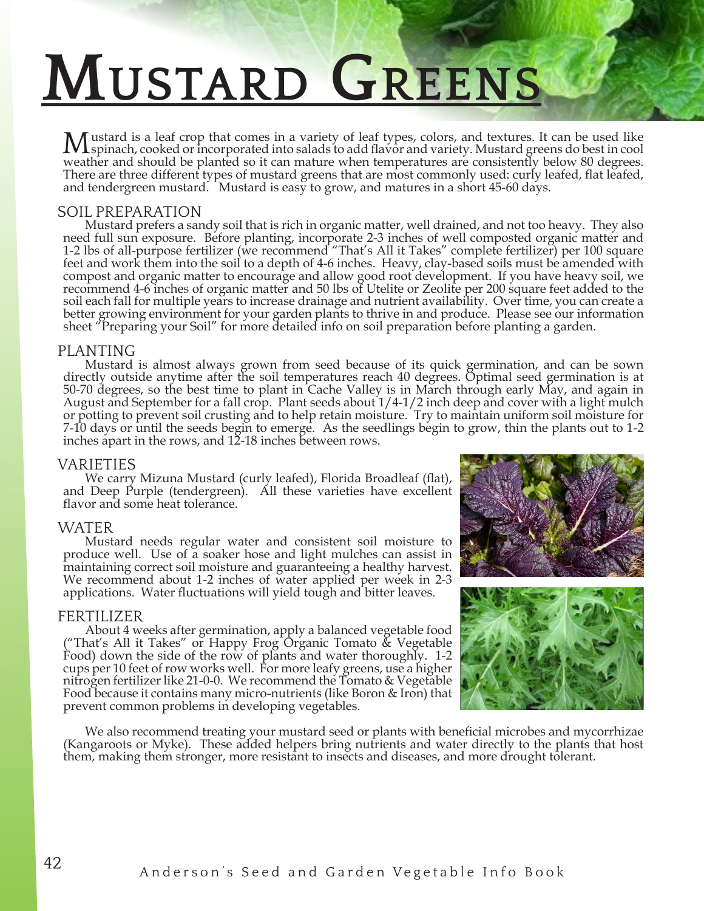# **Mustard Greens**

Mustard is a leaf crop that comes in a variety of leaf types, colors, and textures. It can be used like<br>weather and should be planted so it can mature when temperatures are consistently below 80 degrees. There are three different types of mustard greens that are most commonly used: curly leafed, flat leafed, and tendergreen mustard. Mustard is easy to grow, and matures in a short 45-60 days.

SOIL PREPARATION<br>Mustard prefers a sandy soil that is rich in organic matter, well drained, and not too heavy. They also Mustard prefers a sandy soil that is rich in organic matter, well drained, and not too heavy. They also need full sun exposure. Before planting, incorporate 2-3 inches of well composted organic matter and 1-2 lbs of all-purpose fertilizer (we recommend "That's All it Takes" complete fertilizer) per 100 square feet and work them into the soil to a depth of 4-6 inches. Heavy, clay-based soils must be amended with compost and organic matter to encourage and allow good root development. If you have heavy soil, we recommend 4-6 inches of organic matter and 50 lbs of Utelite or Zeolite per 200 square feet added to the soil each fall for multiple years to increase drainage and nutrient availability. Over time, you can create a better growing environment for your garden plants to thrive in and produce. Please see our information sheet "Preparing your Soil" for more detailed info on soil preparation before planting a garden.

PLANTING<br>Mustard is almost always grown from seed because of its quick germination, and can be sown directly outside anytime after the soil temperatures reach 40 degrees. Optimal seed germination is at 50-70 degrees, so the best time to plant in Cache Valley is in March through early May, and again in August and September for a fall crop. Plant seeds about 1/4-1/2 inch deep and cover with a light mulch or potting to prevent soil crusting and to help retain moisture. Try to maintain uniform soil moisture for 7-10 days or until the seeds begin to emerge. As the seedlings begin to grow, thin the plants out to 1-2 inches apart in the rows, and 12-18 inches between rows.

VARIETIES<br>We carry Mizuna Mustard (curly leafed), Florida Broadleaf (flat), and Deep Purple (tendergreen). All these varieties have excellent flavor and some heat tolerance.

WATER<br>Mustard needs regular water and consistent soil moisture to produce well. Use of a soaker hose and light mulches can assist in maintaining correct soil moisture and guaranteeing a healthy harvest. We recommend about 1-2 inches of water applied per week in 2-3 applications. Water fluctuations will yield tough and bitter leaves.

FERTILIZER<br>About 4 weeks after germination, apply a balanced vegetable food 'That's All it Takes" or Happy Frog Organic Tomato & Vegetable Food) down the side of the row of plants and water thoroughly. 1-2 cups per 10 feet of row works well. For more leafy greens, use a higher nitrogen fertilizer like 21-0-0. We recommend the Tomato & Vegetable Food because it contains many micro-nutrients (like Boron & Iron) that prevent common problems in developing vegetables.





We also recommend treating your mustard seed or plants with beneficial microbes and mycorrhizae (Kangaroots or Myke). These added helpers bring nutrients and water directly to the plants that host them, making them stronger, more resistant to insects and diseases, and more drought tolerant.